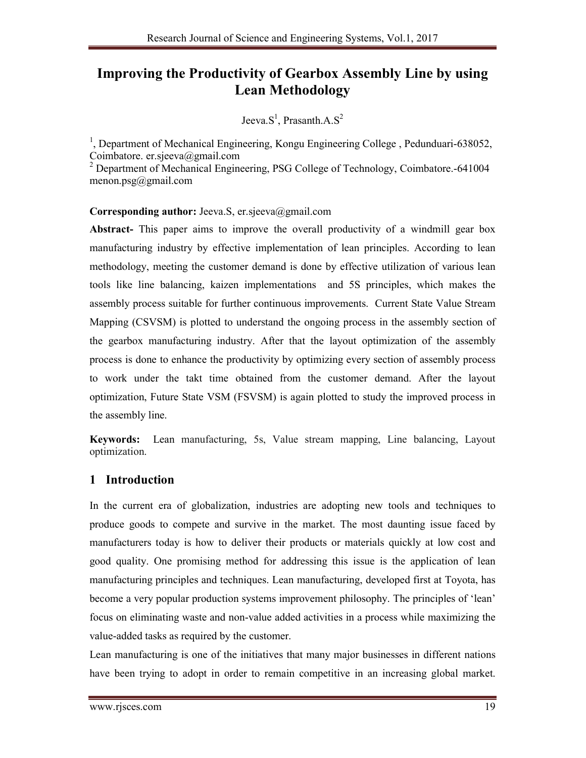# **Improving the Productivity of Gearbox Assembly Line by using Lean Methodology**

## Jeeva.S<sup>1</sup>, Prasanth.A.S<sup>2</sup>

<sup>1</sup>, Department of Mechanical Engineering, Kongu Engineering College, Pedunduari-638052, Coimbatore. er.sjeeva@gmail.com

<sup>2</sup> Department of Mechanical Engineering, PSG College of Technology, Coimbatore.-641004 menon.psg@gmail.com

### **Corresponding author:** Jeeva.S, er.sjeeva@gmail.com

**Abstract-** This paper aims to improve the overall productivity of a windmill gear box manufacturing industry by effective implementation of lean principles. According to lean methodology, meeting the customer demand is done by effective utilization of various lean tools like line balancing, kaizen implementations and 5S principles, which makes the assembly process suitable for further continuous improvements. Current State Value Stream Mapping (CSVSM) is plotted to understand the ongoing process in the assembly section of the gearbox manufacturing industry. After that the layout optimization of the assembly process is done to enhance the productivity by optimizing every section of assembly process to work under the takt time obtained from the customer demand. After the layout optimization, Future State VSM (FSVSM) is again plotted to study the improved process in the assembly line.

**Keywords:** Lean manufacturing, 5s, Value stream mapping, Line balancing, Layout optimization.

## **1 Introduction**

In the current era of globalization, industries are adopting new tools and techniques to produce goods to compete and survive in the market. The most daunting issue faced by manufacturers today is how to deliver their products or materials quickly at low cost and good quality. One promising method for addressing this issue is the application of lean manufacturing principles and techniques. Lean manufacturing, developed first at Toyota, has become a very popular production systems improvement philosophy. The principles of 'lean' focus on eliminating waste and non-value added activities in a process while maximizing the value-added tasks as required by the customer.

Lean manufacturing is one of the initiatives that many major businesses in different nations have been trying to adopt in order to remain competitive in an increasing global market.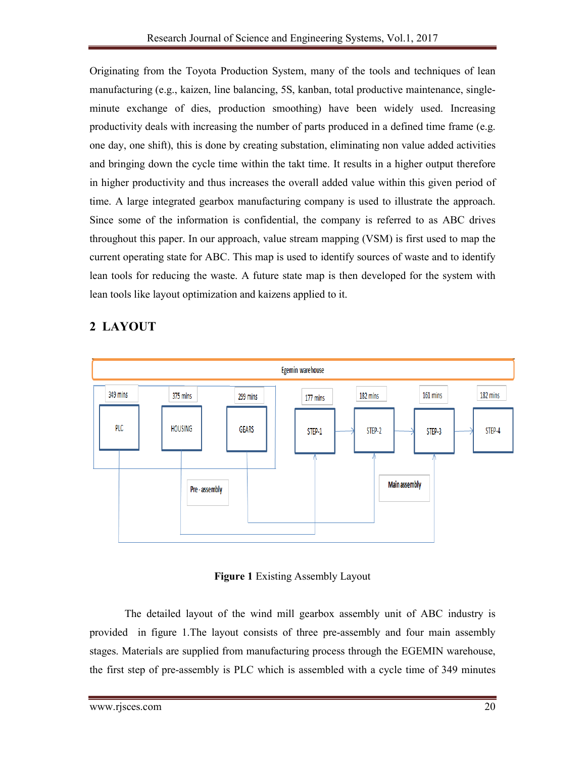Originating from the Toyota Production System, many of the tools and techniques of lean manufacturing (e.g., kaizen, line balancing, 5S, kanban, total productive maintenance, singleminute exchange of dies, production smoothing) have been widely used. Increasing productivity deals with increasing the number of parts produced in a defined time frame (e.g. one day, one shift), this is done by creating substation, eliminating non value added activities and bringing down the cycle time within the takt time. It results in a higher output therefore in higher productivity and thus increases the overall added value within this given period of time. A large integrated gearbox manufacturing company is used to illustrate the approach. Since some of the information is confidential, the company is referred to as ABC drives throughout this paper. In our approach, value stream mapping (VSM) is first used to map the current operating state for ABC. This map is used to identify sources of waste and to identify lean tools for reducing the waste. A future state map is then developed for the system with lean tools like layout optimization and kaizens applied to it.





#### **Figure 1** Existing Assembly Layout

 The detailed layout of the wind mill gearbox assembly unit of ABC industry is provided in figure 1.The layout consists of three pre-assembly and four main assembly stages. Materials are supplied from manufacturing process through the EGEMIN warehouse, the first step of pre-assembly is PLC which is assembled with a cycle time of 349 minutes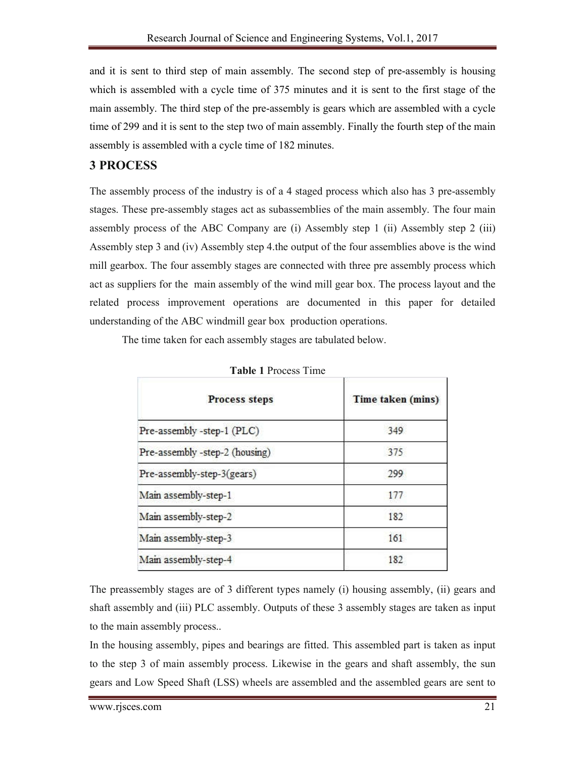and it is sent to third step of main assembly. The second step of pre-assembly is housing which is assembled with a cycle time of 375 minutes and it is sent to the first stage of the main assembly. The third step of the pre-assembly is gears which are assembled with a cycle time of 299 and it is sent to the step two of main assembly. Finally the fourth step of the main assembly is assembled with a cycle time of 182 minutes.

#### **3 PROCESS**

The assembly process of the industry is of a 4 staged process which also has 3 pre-assembly stages. These pre-assembly stages act as subassemblies of the main assembly. The four main assembly process of the ABC Company are (i) Assembly step 1 (ii) Assembly step 2 (iii) Assembly step 3 and (iv) Assembly step 4.the output of the four assemblies above is the wind mill gearbox. The four assembly stages are connected with three pre assembly process which act as suppliers for the main assembly of the wind mill gear box. The process layout and the related process improvement operations are documented in this paper for detailed understanding of the ABC windmill gear box production operations.

The time taken for each assembly stages are tabulated below.

| <b>Process steps</b>           | Time taken (mins) |  |  |  |  |
|--------------------------------|-------------------|--|--|--|--|
| Pre-assembly -step-1 (PLC)     | 349               |  |  |  |  |
| Pre-assembly -step-2 (housing) | 375               |  |  |  |  |
| Pre-assembly-step-3(gears)     | 299               |  |  |  |  |
| Main assembly-step-1           | 177               |  |  |  |  |
| Main assembly-step-2           | 182               |  |  |  |  |
| Main assembly-step-3           | 161               |  |  |  |  |
| Main assembly-step-4           | 182               |  |  |  |  |

The preassembly stages are of 3 different types namely (i) housing assembly, (ii) gears and shaft assembly and (iii) PLC assembly. Outputs of these 3 assembly stages are taken as input to the main assembly process..

In the housing assembly, pipes and bearings are fitted. This assembled part is taken as input to the step 3 of main assembly process. Likewise in the gears and shaft assembly, the sun gears and Low Speed Shaft (LSS) wheels are assembled and the assembled gears are sent to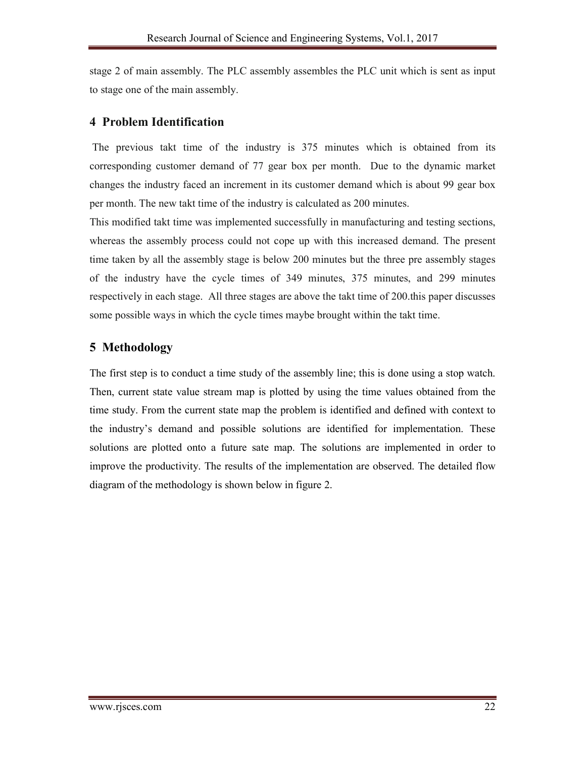stage 2 of main assembly. The PLC assembly assembles the PLC unit which is sent as input to stage one of the main assembly.

#### **4 Problem Identification**

The previous takt time of the industry is 375 minutes which is obtained from its corresponding customer demand of 77 gear box per month. Due to the dynamic market changes the industry faced an increment in its customer demand which is about 99 gear box per month. The new takt time of the industry is calculated as 200 minutes.

This modified takt time was implemented successfully in manufacturing and testing sections, whereas the assembly process could not cope up with this increased demand. The present time taken by all the assembly stage is below 200 minutes but the three pre assembly stages of the industry have the cycle times of 349 minutes, 375 minutes, and 299 minutes respectively in each stage. All three stages are above the takt time of 200.this paper discusses some possible ways in which the cycle times maybe brought within the takt time.

## **5 Methodology**

The first step is to conduct a time study of the assembly line; this is done using a stop watch. Then, current state value stream map is plotted by using the time values obtained from the time study. From the current state map the problem is identified and defined with context to the industry's demand and possible solutions are identified for implementation. These solutions are plotted onto a future sate map. The solutions are implemented in order to improve the productivity. The results of the implementation are observed. The detailed flow diagram of the methodology is shown below in figure 2.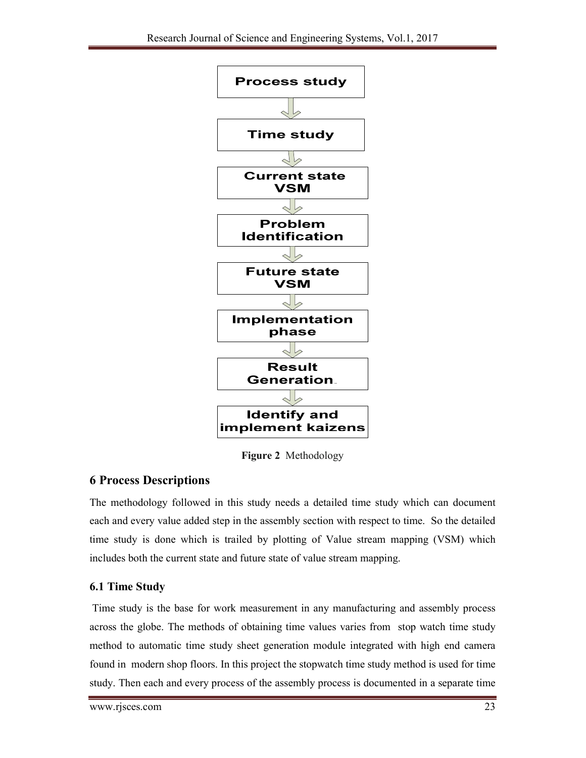

**Figure 2** Methodology

## **6 Process Descriptions**

The methodology followed in this study needs a detailed time study which can document each and every value added step in the assembly section with respect to time. So the detailed time study is done which is trailed by plotting of Value stream mapping (VSM) which includes both the current state and future state of value stream mapping.

## **6.1 Time Study**

Time study is the base for work measurement in any manufacturing and assembly process across the globe. The methods of obtaining time values varies from stop watch time study method to automatic time study sheet generation module integrated with high end camera found in modern shop floors. In this project the stopwatch time study method is used for time study. Then each and every process of the assembly process is documented in a separate time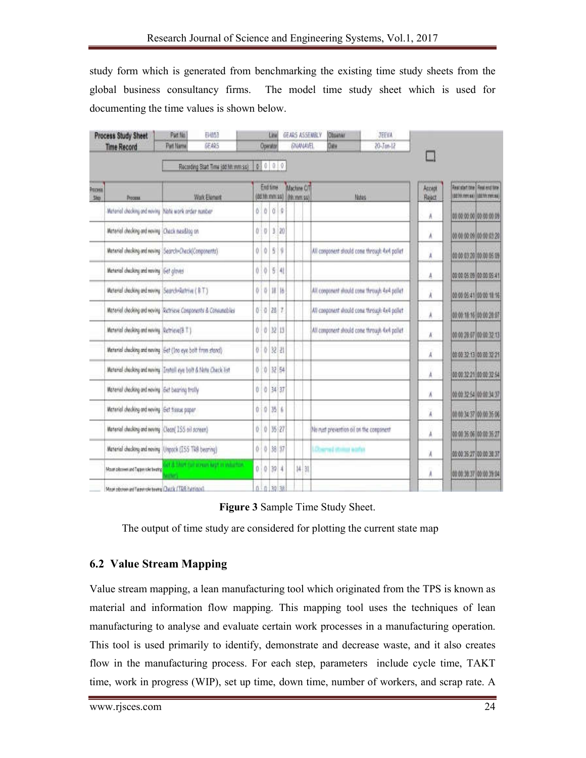study form which is generated from benchmarking the existing time study sheets from the global business consultancy firms. The model time study sheet which is used for documenting the time values is shown below.

|                         | <b>Process Study Sheet</b><br><b>Time Record</b>                 | Part No.<br>Patt Name | EMM3<br><b>GEARS</b>                   |                                       | Operator       | Line      |         |             | <b>GNANAVEL</b> | GEARS ASSEMBLY | <b>Observer</b><br>Date                 | JEEVA<br>20-Jan-12                            |                 |                                                                   |
|-------------------------|------------------------------------------------------------------|-----------------------|----------------------------------------|---------------------------------------|----------------|-----------|---------|-------------|-----------------|----------------|-----------------------------------------|-----------------------------------------------|-----------------|-------------------------------------------------------------------|
|                         |                                                                  |                       | Recording Start Time (dd hit mm ss)    |                                       |                |           | 0000    |             |                 |                |                                         |                                               |                 |                                                                   |
| Procesis<br><b>Slip</b> | Рески                                                            | Wark Element          |                                        | End time.<br>(8d Th:mm ss) (th.mm ss) |                |           |         | Machine C/T |                 |                | Nates                                   |                                               | Accept<br>Reect | <b>Restatant cire   Real end time</b><br>(807m mmcca) (807m mmac) |
|                         | Material checking and moving Note work arder number              |                       |                                        |                                       | 0.0            | ö.        | ¢       |             |                 |                |                                         |                                               | A               | 00 00:00:00 00:00:00 09                                           |
|                         | Material checking and moving Chack russ&log on                   |                       |                                        |                                       | 0.0            |           | 3:20    |             |                 |                |                                         |                                               | Ă.              | 00:00:00:09 00:00:03:20                                           |
|                         | Material checking and nexing Search+Check(Congonents)            |                       |                                        | Ö.                                    | $\sqrt{2}$     | 8         | ¥.      |             |                 |                |                                         | All component should come through Av4 pallet  | Â               | 00 00:03:20 00:00:05:19                                           |
|                         | Meterial checking and moving Get gloves                          |                       |                                        | ö.                                    | İΦ             |           | $5 - 4$ |             |                 |                |                                         |                                               | A               | 00:00:05:09 00:00:05:41                                           |
|                         | Material checking and moving Search-Ratrive (BT)                 |                       |                                        |                                       | 010            | 田 场       |         |             |                 |                |                                         | All component illould come through 4x4 pollet | j,              | 00:00:05:41 00:00 18:16                                           |
|                         | Material checking and noving (Retrieve Components & Consumables) |                       |                                        |                                       | 0.0287         |           |         |             |                 |                |                                         | All companent should come through Ax4 pallet  | λ               | 00:00:15:16 00:00:20:07                                           |
|                         | Material checking and noving Retrieve(BT)                        |                       |                                        |                                       | 0 0 32 13      |           |         |             |                 |                |                                         | All component should come through 4x4 pallet  | N.              | 00:00:28:07 00:00:32:13                                           |
|                         | Material checking and naving (Set (Ino eye bott from stand)      |                       |                                        |                                       | 0.0            | $32 - 21$ |         |             |                 |                |                                         |                                               | Ä               | 00:00:32:13 00:00:32:21                                           |
|                         | Material checking and maving [Install eye bolt & Note Check list |                       |                                        |                                       | 0:0            |           | 汉 54    |             |                 |                |                                         |                                               | Å               | 00:00:32:21 00:00:32:54                                           |
|                         | Material checking and noving (Set bearing trally                 |                       |                                        |                                       | $0$ $0$ 34 37  |           |         |             |                 |                |                                         |                                               | Ä               | 00:00:32:54 00:00:34:37                                           |
|                         | Material checking and noving Get tissue paper.                   |                       |                                        |                                       | 0.0            | 35        | 'n.     |             |                 |                |                                         |                                               | Ä               | 00 00:34:37 00:00:35:06                                           |
|                         | Material checking and nowing (Clean(ISS oil acreen)              |                       |                                        |                                       | 0 <sup>1</sup> | 15/27     |         |             |                 |                | No rust prevention oil on the congonent |                                               | Å               | 00 00 35:06 00:00 35:27                                           |
|                         | Material checking and noving (Ungock (ISS TRB bearing)           |                       |                                        |                                       | 0/0            | 38 37     |         |             |                 |                | LOserval stratus addes                  |                                               | 'A              | 00:00:35:27 00:00:38:37                                           |
|                         | Mount plasses and Tappe rolet beging                             |                       | and a thirt (a) screen kept in whattow |                                       | 0.0324         |           |         |             | $14 - 31$       |                |                                         |                                               | A               | 00 00:30:37 00:00 39:04                                           |
|                         | Denis of 2011 Visit Thomas started the transfer such and         |                       |                                        |                                       | 0 0 30 38      |           |         |             |                 |                |                                         |                                               |                 |                                                                   |

**Figure 3** Sample Time Study Sheet.

The output of time study are considered for plotting the current state map

### **6.2 Value Stream Mapping**

Value stream mapping, a lean manufacturing tool which originated from the TPS is known as material and information flow mapping. This mapping tool uses the techniques of lean manufacturing to analyse and evaluate certain work processes in a manufacturing operation. This tool is used primarily to identify, demonstrate and decrease waste, and it also creates flow in the manufacturing process. For each step, parameters include cycle time, TAKT time, work in progress (WIP), set up time, down time, number of workers, and scrap rate. A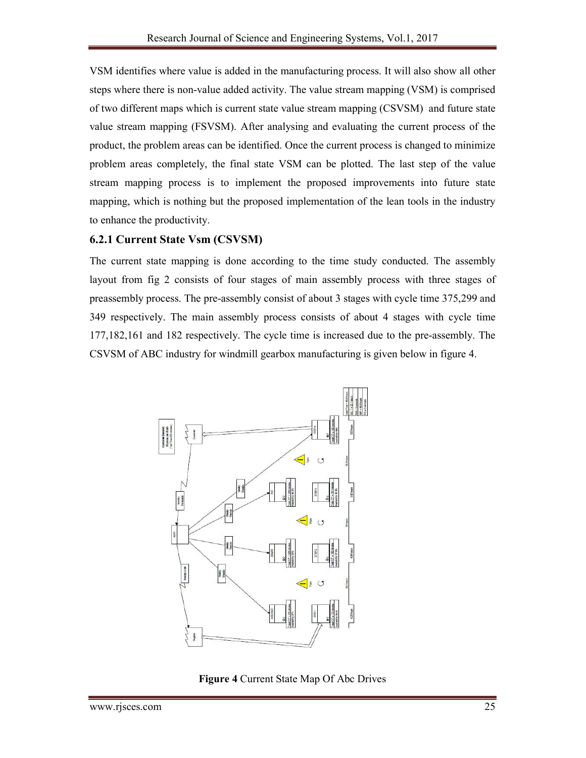VSM identifies where value is added in the manufacturing process. It will also show all other steps where there is non-value added activity. The value stream mapping (VSM) is comprised of two different maps which is current state value stream mapping (CSVSM) and future state value stream mapping (FSVSM). After analysing and evaluating the current process of the product, the problem areas can be identified. Once the current process is changed to minimize problem areas completely, the final state VSM can be plotted. The last step of the value stream mapping process is to implement the proposed improvements into future state mapping, which is nothing but the proposed implementation of the lean tools in the industry to enhance the productivity.

#### **6.2.1 Current State Vsm (CSVSM)**

The current state mapping is done according to the time study conducted. The assembly layout from fig 2 consists of four stages of main assembly process with three stages of preassembly process. The pre-assembly consist of about 3 stages with cycle time 375,299 and 349 respectively. The main assembly process consists of about 4 stages with cycle time 177,182,161 and 182 respectively. The cycle time is increased due to the pre-assembly. The CSVSM of ABC industry for windmill gearbox manufacturing is given below in figure 4.



**Figure 4** Current State Map Of Abc Drives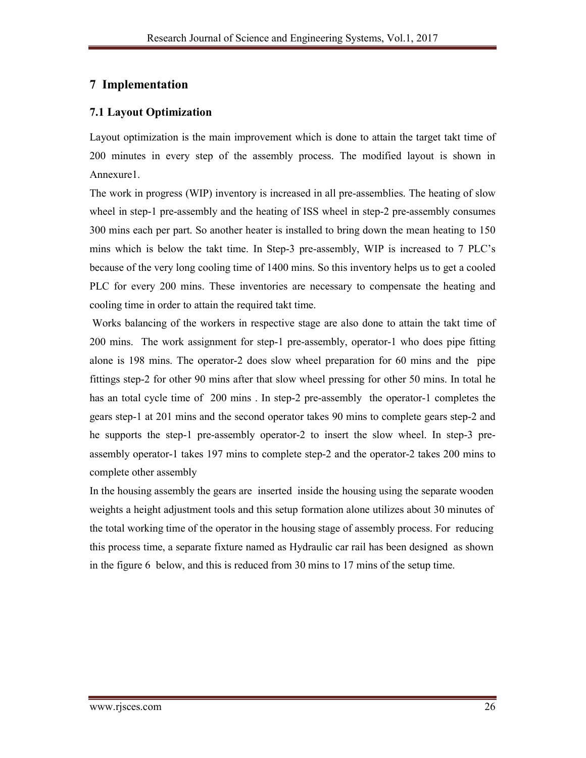## **7 Implementation**

### **7.1 Layout Optimization**

Layout optimization is the main improvement which is done to attain the target takt time of 200 minutes in every step of the assembly process. The modified layout is shown in Annexure1.

The work in progress (WIP) inventory is increased in all pre-assemblies. The heating of slow wheel in step-1 pre-assembly and the heating of ISS wheel in step-2 pre-assembly consumes 300 mins each per part. So another heater is installed to bring down the mean heating to 150 mins which is below the takt time. In Step-3 pre-assembly, WIP is increased to 7 PLC's because of the very long cooling time of 1400 mins. So this inventory helps us to get a cooled PLC for every 200 mins. These inventories are necessary to compensate the heating and cooling time in order to attain the required takt time.

Works balancing of the workers in respective stage are also done to attain the takt time of 200 mins. The work assignment for step-1 pre-assembly, operator-1 who does pipe fitting alone is 198 mins. The operator-2 does slow wheel preparation for 60 mins and the pipe fittings step-2 for other 90 mins after that slow wheel pressing for other 50 mins. In total he has an total cycle time of 200 mins. In step-2 pre-assembly the operator-1 completes the gears step-1 at 201 mins and the second operator takes 90 mins to complete gears step-2 and he supports the step-1 pre-assembly operator-2 to insert the slow wheel. In step-3 preassembly operator-1 takes 197 mins to complete step-2 and the operator-2 takes 200 mins to complete other assembly

In the housing assembly the gears are inserted inside the housing using the separate wooden weights a height adjustment tools and this setup formation alone utilizes about 30 minutes of the total working time of the operator in the housing stage of assembly process. For reducing this process time, a separate fixture named as Hydraulic car rail has been designed as shown in the figure 6 below, and this is reduced from 30 mins to 17 mins of the setup time.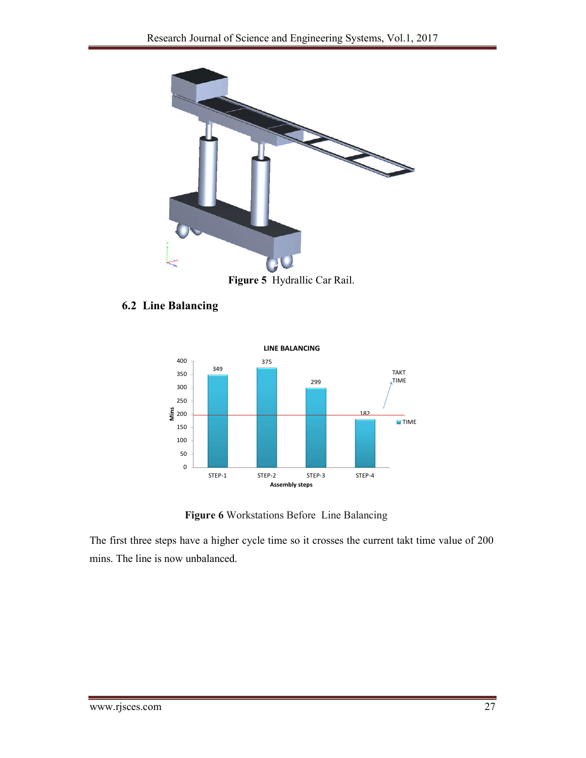

**Figure 5** Hydrallic Car Rail.

#### **6.2 Line Balancing**



**Figure 6** Workstations Before Line Balancing

The first three steps have a higher cycle time so it crosses the current takt time value of 200 mins. The line is now unbalanced.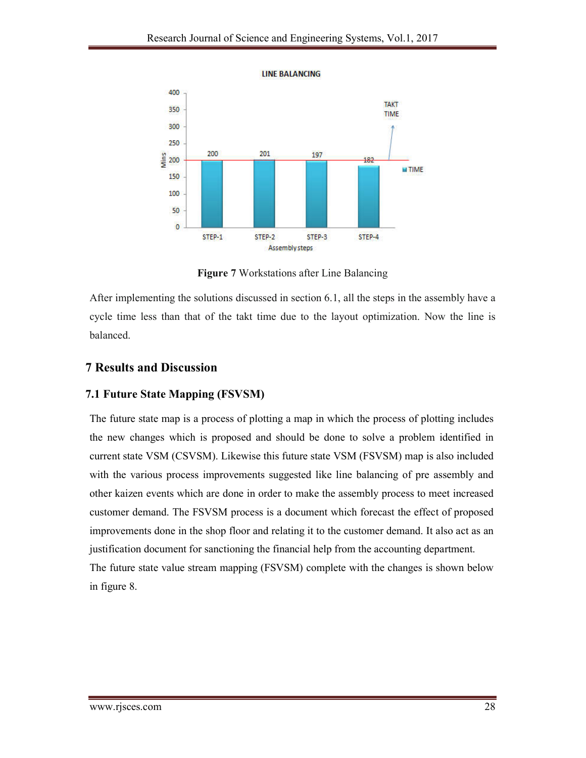

**LINE BALANCING** 

**Figure 7** Workstations after Line Balancing

After implementing the solutions discussed in section 6.1, all the steps in the assembly have a cycle time less than that of the takt time due to the layout optimization. Now the line is balanced.

### **7 Results and Discussion**

#### **7.1 Future State Mapping (FSVSM)**

The future state map is a process of plotting a map in which the process of plotting includes the new changes which is proposed and should be done to solve a problem identified in current state VSM (CSVSM). Likewise this future state VSM (FSVSM) map is also included with the various process improvements suggested like line balancing of pre assembly and other kaizen events which are done in order to make the assembly process to meet increased customer demand. The FSVSM process is a document which forecast the effect of proposed improvements done in the shop floor and relating it to the customer demand. It also act as an justification document for sanctioning the financial help from the accounting department. The future state value stream mapping (FSVSM) complete with the changes is shown below in figure 8.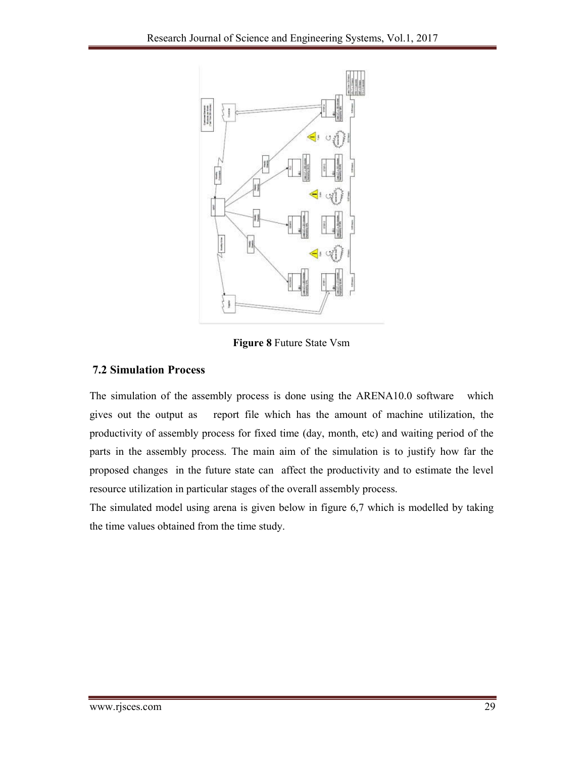

**Figure 8** Future State Vsm

### **7.2 Simulation Process**

The simulation of the assembly process is done using the ARENA10.0 software which gives out the output as report file which has the amount of machine utilization, the productivity of assembly process for fixed time (day, month, etc) and waiting period of the parts in the assembly process. The main aim of the simulation is to justify how far the proposed changes in the future state can affect the productivity and to estimate the level resource utilization in particular stages of the overall assembly process.

The simulated model using arena is given below in figure 6,7 which is modelled by taking the time values obtained from the time study.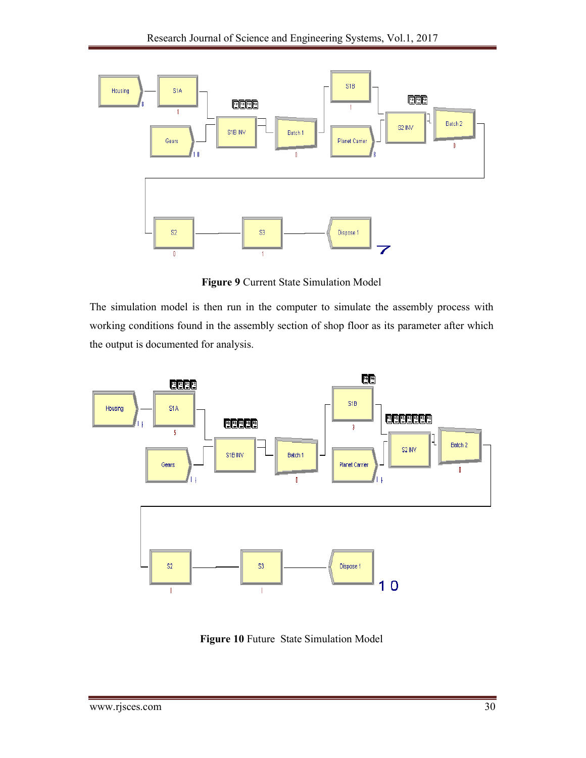

**Figure 9** Current State Simulation Model

The simulation model is then run in the computer to simulate the assembly process with working conditions found in the assembly section of shop floor as its parameter after which the output is documented for analysis.



**Figure 10** Future State Simulation Model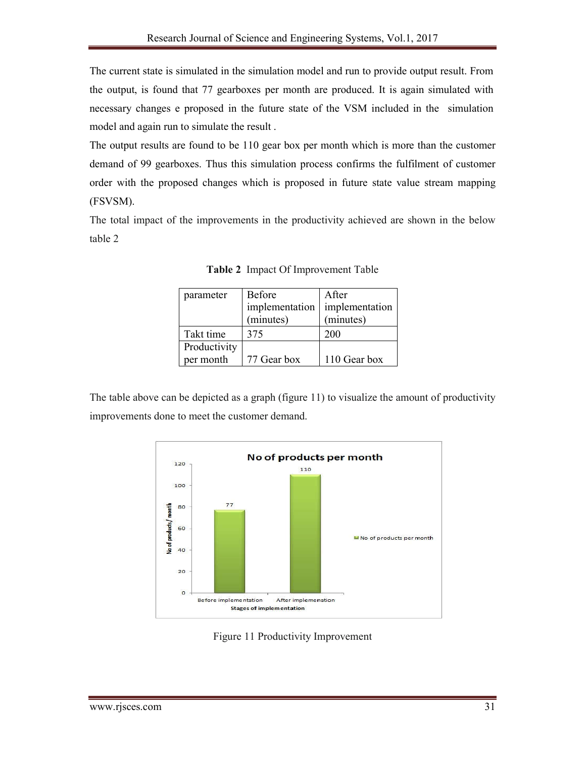The current state is simulated in the simulation model and run to provide output result. From the output, is found that 77 gearboxes per month are produced. It is again simulated with necessary changes e proposed in the future state of the VSM included in the simulation model and again run to simulate the result .

The output results are found to be 110 gear box per month which is more than the customer demand of 99 gearboxes. Thus this simulation process confirms the fulfilment of customer order with the proposed changes which is proposed in future state value stream mapping (FSVSM).

The total impact of the improvements in the productivity achieved are shown in the below table 2

| parameter    | <b>Before</b>  | After          |  |  |  |
|--------------|----------------|----------------|--|--|--|
|              | implementation | implementation |  |  |  |
|              | (minutes)      | (minutes)      |  |  |  |
| Takt time    | 375            | 200            |  |  |  |
| Productivity |                |                |  |  |  |
| per month    | 77 Gear box    | 110 Gear box   |  |  |  |

**Table 2** Impact Of Improvement Table

The table above can be depicted as a graph (figure 11) to visualize the amount of productivity improvements done to meet the customer demand.



Figure 11 Productivity Improvement